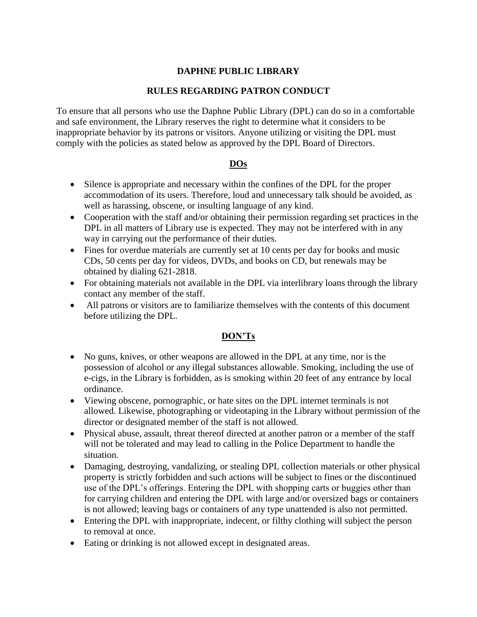## **DAPHNE PUBLIC LIBRARY**

#### **RULES REGARDING PATRON CONDUCT**

To ensure that all persons who use the Daphne Public Library (DPL) can do so in a comfortable and safe environment, the Library reserves the right to determine what it considers to be inappropriate behavior by its patrons or visitors. Anyone utilizing or visiting the DPL must comply with the policies as stated below as approved by the DPL Board of Directors.

### **DOs**

- Silence is appropriate and necessary within the confines of the DPL for the proper accommodation of its users. Therefore, loud and unnecessary talk should be avoided, as well as harassing, obscene, or insulting language of any kind.
- Cooperation with the staff and/or obtaining their permission regarding set practices in the DPL in all matters of Library use is expected. They may not be interfered with in any way in carrying out the performance of their duties.
- Fines for overdue materials are currently set at 10 cents per day for books and music CDs, 50 cents per day for videos, DVDs, and books on CD, but renewals may be obtained by dialing 621-2818.
- For obtaining materials not available in the DPL via interlibrary loans through the library contact any member of the staff.
- All patrons or visitors are to familiarize themselves with the contents of this document before utilizing the DPL.

### **DON'Ts**

- No guns, knives, or other weapons are allowed in the DPL at any time, nor is the possession of alcohol or any illegal substances allowable. Smoking, including the use of e-cigs, in the Library is forbidden, as is smoking within 20 feet of any entrance by local ordinance.
- Viewing obscene, pornographic, or hate sites on the DPL internet terminals is not allowed. Likewise, photographing or videotaping in the Library without permission of the director or designated member of the staff is not allowed.
- Physical abuse, assault, threat thereof directed at another patron or a member of the staff will not be tolerated and may lead to calling in the Police Department to handle the situation.
- Damaging, destroying, vandalizing, or stealing DPL collection materials or other physical property is strictly forbidden and such actions will be subject to fines or the discontinued use of the DPL's offerings. Entering the DPL with shopping carts or buggies other than for carrying children and entering the DPL with large and/or oversized bags or containers is not allowed; leaving bags or containers of any type unattended is also not permitted.
- Entering the DPL with inappropriate, indecent, or filthy clothing will subject the person to removal at once.
- Eating or drinking is not allowed except in designated areas.